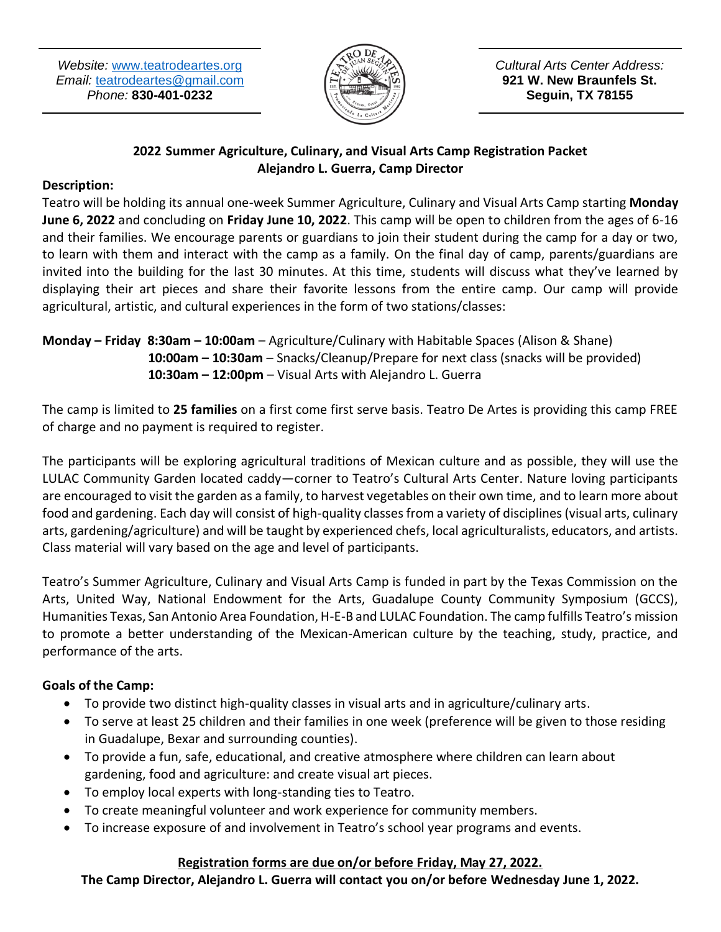*Website:* [www.teatrodeartes.org](http://www.teatrodeartes.org/) *Email:* [teatrodeartes@gmail.com](mailto:teatrodeartes@gmail.com) *Phone:* **830-401-0232**



*Cultural Arts Center Address:* **921 W. New Braunfels St. Seguin, TX 78155**

### **2022 Summer Agriculture, Culinary, and Visual Arts Camp Registration Packet Alejandro L. Guerra, Camp Director**

## **Description:**

Teatro will be holding its annual one-week Summer Agriculture, Culinary and Visual Arts Camp starting **Monday June 6, 2022** and concluding on **Friday June 10, 2022**. This camp will be open to children from the ages of 6-16 and their families. We encourage parents or guardians to join their student during the camp for a day or two, to learn with them and interact with the camp as a family. On the final day of camp, parents/guardians are invited into the building for the last 30 minutes. At this time, students will discuss what they've learned by displaying their art pieces and share their favorite lessons from the entire camp. Our camp will provide agricultural, artistic, and cultural experiences in the form of two stations/classes:

**Monday – Friday 8:30am – 10:00am** – Agriculture/Culinary with Habitable Spaces (Alison & Shane) **10:00am – 10:30am** – Snacks/Cleanup/Prepare for next class (snacks will be provided)  **10:30am – 12:00pm** – Visual Arts with Alejandro L. Guerra

The camp is limited to **25 families** on a first come first serve basis. Teatro De Artes is providing this camp FREE of charge and no payment is required to register.

The participants will be exploring agricultural traditions of Mexican culture and as possible, they will use the LULAC Community Garden located caddy—corner to Teatro's Cultural Arts Center. Nature loving participants are encouraged to visit the garden as a family, to harvest vegetables on their own time, and to learn more about food and gardening. Each day will consist of high-quality classes from a variety of disciplines (visual arts, culinary arts, gardening/agriculture) and will be taught by experienced chefs, local agriculturalists, educators, and artists. Class material will vary based on the age and level of participants.

Teatro's Summer Agriculture, Culinary and Visual Arts Camp is funded in part by the Texas Commission on the Arts, United Way, National Endowment for the Arts, Guadalupe County Community Symposium (GCCS), Humanities Texas, San Antonio Area Foundation, H-E-B and LULAC Foundation. The camp fulfills Teatro's mission to promote a better understanding of the Mexican-American culture by the teaching, study, practice, and performance of the arts.

# **Goals of the Camp:**

- To provide two distinct high-quality classes in visual arts and in agriculture/culinary arts.
- To serve at least 25 children and their families in one week (preference will be given to those residing in Guadalupe, Bexar and surrounding counties).
- To provide a fun, safe, educational, and creative atmosphere where children can learn about gardening, food and agriculture: and create visual art pieces.
- To employ local experts with long-standing ties to Teatro.
- To create meaningful volunteer and work experience for community members.
- To increase exposure of and involvement in Teatro's school year programs and events.

## **Registration forms are due on/or before Friday, May 27, 2022.**

**The Camp Director, Alejandro L. Guerra will contact you on/or before Wednesday June 1, 2022.**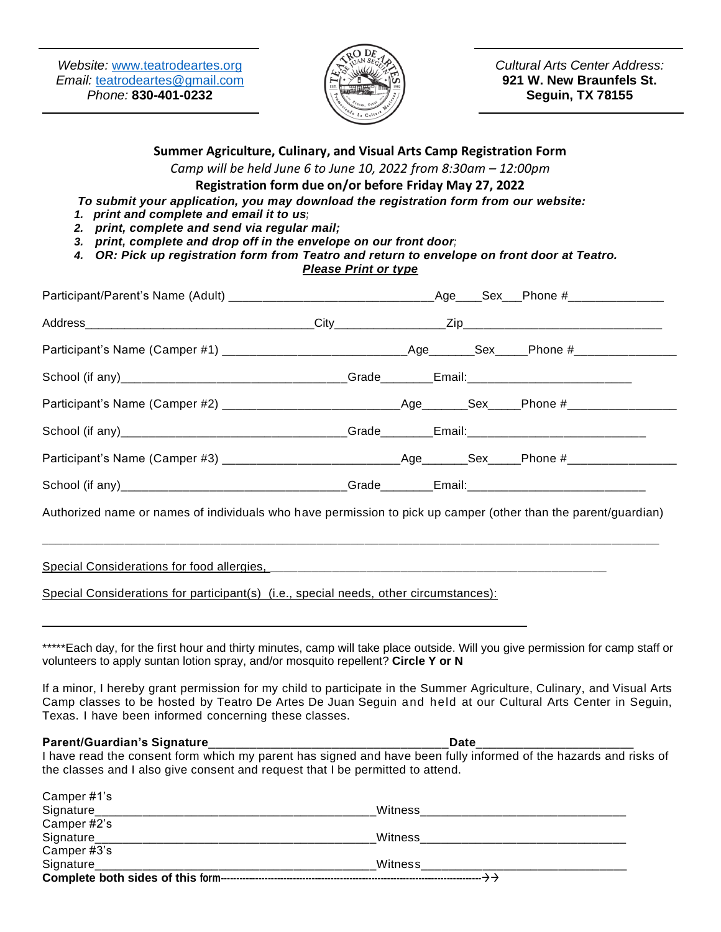*Website:* [www.teatrodeartes.org](http://www.teatrodeartes.org/) *Email:* [teatrodeartes@gmail.com](mailto:teatrodeartes@gmail.com) *Phone:* **830-401-0232**



*Cultural Arts Center Address:* **921 W. New Braunfels St. Seguin, TX 78155**

**Summer Agriculture, Culinary, and Visual Arts Camp Registration Form**

*Camp will be held June 6 to June 10, 2022 from 8:30am – 12:00pm*

### **Registration form due on/or before Friday May 27, 2022**

*To submit your application, you may download the registration form from our website:*

- *1. print and complete and email it to us;*
- *2. print, complete and send via regular mail;*
- *3. print, complete and drop off in the envelope on our front door;*
- *4. OR: Pick up registration form from Teatro and return to envelope on front door at Teatro. Please Print or type*

| Participant/Parent's Name (Adult) _________________________________Age____Sex___Phone #________________        |  |  |  |
|----------------------------------------------------------------------------------------------------------------|--|--|--|
|                                                                                                                |  |  |  |
| Participant's Name (Camper #1) ______________________________Age_______Sex_____Phone #______________           |  |  |  |
| School (if any)__________________________________Grade________Email:__________________________                 |  |  |  |
| Participant's Name (Camper #2) ____________________________Age_______Sex_____Phone #________________           |  |  |  |
| School (if any)__________________________________Grade________Email:_______________________________            |  |  |  |
| Participant's Name (Camper #3) _____________________________Age_______Sex_____Phone #_______________           |  |  |  |
| School (if any)_________________________________Grade________Email:_______________________________             |  |  |  |
| Authorized name or names of individuals who have permission to pick up camper (other than the parent/guardian) |  |  |  |
|                                                                                                                |  |  |  |
|                                                                                                                |  |  |  |
| Special Considerations for participant(s) (i.e., special needs, other circumstances):                          |  |  |  |
|                                                                                                                |  |  |  |
|                                                                                                                |  |  |  |

\*\*\*\*\*Each day, for the first hour and thirty minutes, camp will take place outside. Will you give permission for camp staff or volunteers to apply suntan lotion spray, and/or mosquito repellent? **Circle Y or N**

If a minor, I hereby grant permission for my child to participate in the Summer Agriculture, Culinary, and Visual Arts Camp classes to be hosted by Teatro De Artes De Juan Seguin and held at our Cultural Arts Center in Seguin, Texas. I have been informed concerning these classes.

#### **Parent/Guardian's Signature**\_\_\_\_\_\_\_\_\_\_\_\_\_\_\_\_\_\_\_\_\_\_\_\_\_\_\_\_\_\_\_\_\_\_\_**Date**\_\_\_\_\_\_\_\_\_\_\_\_\_\_\_\_\_\_\_\_\_\_\_

 $\epsilon$  can  $\epsilon$  and  $\mu$   $\lambda$   $\lambda$ 

I have read the consent form which my parent has signed and have been fully informed of the hazards and risks of the classes and I also give consent and request that I be permitted to attend.

| Signature                      | Witness |  |
|--------------------------------|---------|--|
| Camper #3's                    |         |  |
| Signature                      | Witness |  |
| Camper #2's                    |         |  |
| Signature                      | Witness |  |
| $\text{Carnper } H \text{ is}$ |         |  |